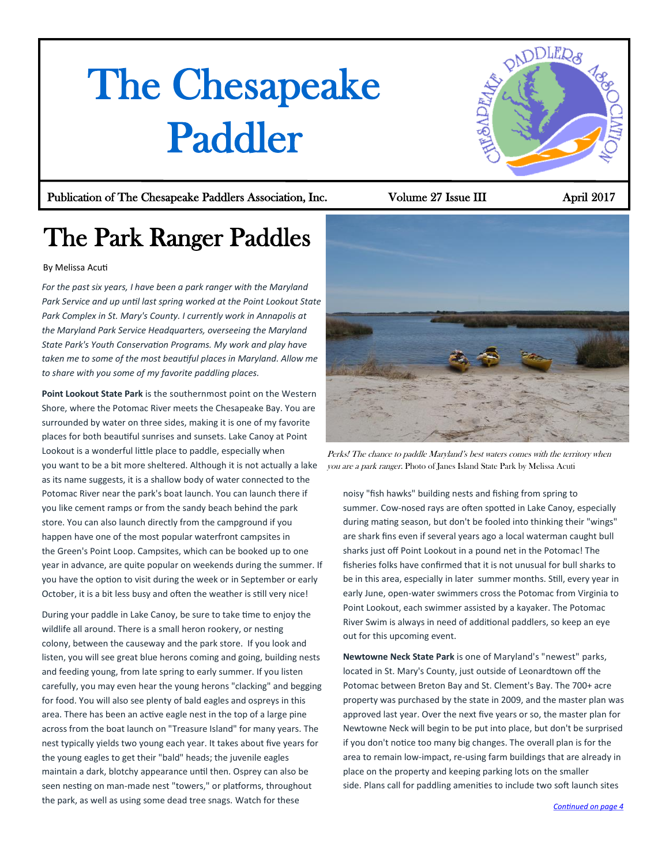# <span id="page-0-0"></span>The Chesapeake Paddler

## Publication of The Chesapeake Paddlers Association, Inc. Volume 27 Issue III April 2017

paDDLER&

## The Park Ranger Paddles

### By Melissa Acuti

*For the past six years, I have been a park ranger with the Maryland Park Service and up until last spring worked at the Point Lookout State Park Complex in St. Mary's County. I currently work in Annapolis at the Maryland Park Service Headquarters, overseeing the Maryland State Park's Youth Conservation Programs. My work and play have taken me to some of the most beautiful places in Maryland. Allow me to share with you some of my favorite paddling places.*

**Point Lookout State Park** is the southernmost point on the Western Shore, where the Potomac River meets the Chesapeake Bay. You are surrounded by water on three sides, making it is one of my favorite places for both beautiful sunrises and sunsets. Lake Canoy at Point Lookout is a wonderful little place to paddle, especially when you want to be a bit more sheltered. Although it is not actually a lake as its name suggests, it is a shallow body of water connected to the Potomac River near the park's boat launch. You can launch there if you like cement ramps or from the sandy beach behind the park store. You can also launch directly from the campground if you happen have one of the most popular waterfront campsites in the Green's Point Loop. Campsites, which can be booked up to one year in advance, are quite popular on weekends during the summer. If you have the option to visit during the week or in September or early October, it is a bit less busy and often the weather is still very nice!

During your paddle in Lake Canoy, be sure to take time to enjoy the wildlife all around. There is a small heron rookery, or nesting colony, between the causeway and the park store. If you look and listen, you will see great blue herons coming and going, building nests and feeding young, from late spring to early summer. If you listen carefully, you may even hear the young herons "clacking" and begging for food. You will also see plenty of bald eagles and ospreys in this area. There has been an active eagle nest in the top of a large pine across from the boat launch on "Treasure Island" for many years. The nest typically yields two young each year. It takes about five years for the young eagles to get their "bald" heads; the juvenile eagles maintain a dark, blotchy appearance until then. Osprey can also be seen nesting on man-made nest "towers," or platforms, throughout the park, as well as using some dead tree snags. Watch for these



Perks! The chance to paddle Maryland's best waters comes with the territory when you are <sup>a</sup> park ranger. Photo of Janes Island State Park by Melissa Acuti

noisy "fish hawks" building nests and fishing from spring to summer. Cow-nosed rays are often spotted in Lake Canoy, especially during mating season, but don't be fooled into thinking their "wings" are shark fins even if several years ago a local waterman caught bull sharks just off Point Lookout in a pound net in the Potomac! The fisheries folks have confirmed that it is not unusual for bull sharks to be in this area, especially in later summer months. Still, every year in early June, open-water swimmers cross the Potomac from Virginia to Point Lookout, each swimmer assisted by a kayaker. The Potomac River Swim is always in need of additional paddlers, so keep an eye out for this upcoming event.

**Newtowne Neck State Park** is one of Maryland's "newest" parks, located in St. Mary's County, just outside of Leonardtown off the Potomac between Breton Bay and St. Clement's Bay. The 700+ acre property was purchased by the state in 2009, and the master plan was approved last year. Over the next five years or so, the master plan for Newtowne Neck will begin to be put into place, but don't be surprised if you don't notice too many big changes. The overall plan is for the area to remain low-impact, re-using farm buildings that are already in place on the property and keeping parking lots on the smaller side. Plans call for paddling amenities to include two soft launch sites